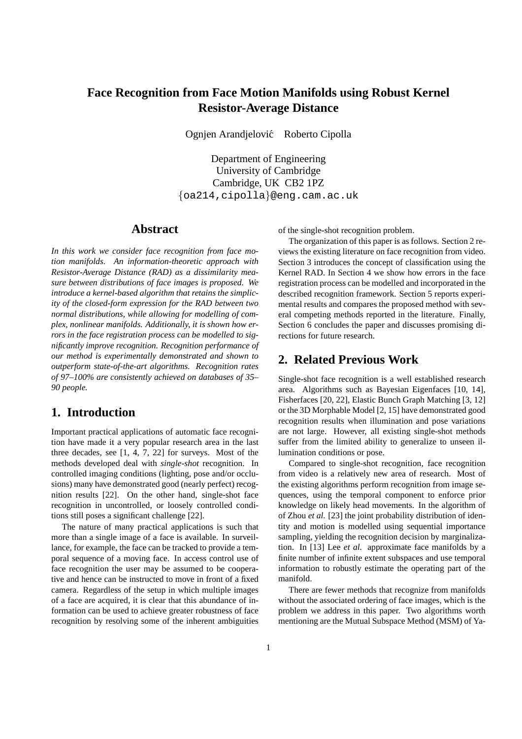# **Face Recognition from Face Motion Manifolds using Robust Kernel Resistor-Average Distance**

Ognjen Arandjelović Roberto Cipolla

Department of Engineering University of Cambridge Cambridge, UK CB2 1PZ {oa214,cipolla}@eng.cam.ac.uk

### **Abstract**

*In this work we consider face recognition from face motion manifolds. An information-theoretic approach with Resistor-Average Distance (RAD) as a dissimilarity measure between distributions of face images is proposed. We introduce a kernel-based algorithm that retains the simplicity of the closed-form expression for the RAD between two normal distributions, while allowing for modelling of complex, nonlinear manifolds. Additionally, it is shown how errors in the face registration process can be modelled to significantly improve recognition. Recognition performance of our method is experimentally demonstrated and shown to outperform state-of-the-art algorithms. Recognition rates of 97–100% are consistently achieved on databases of 35– 90 people.*

### **1. Introduction**

Important practical applications of automatic face recognition have made it a very popular research area in the last three decades, see [1, 4, 7, 22] for surveys. Most of the methods developed deal with *single-shot* recognition. In controlled imaging conditions (lighting, pose and/or occlusions) many have demonstrated good (nearly perfect) recognition results [22]. On the other hand, single-shot face recognition in uncontrolled, or loosely controlled conditions still poses a significant challenge [22].

The nature of many practical applications is such that more than a single image of a face is available. In surveillance, for example, the face can be tracked to provide a temporal sequence of a moving face. In access control use of face recognition the user may be assumed to be cooperative and hence can be instructed to move in front of a fixed camera. Regardless of the setup in which multiple images of a face are acquired, it is clear that this abundance of information can be used to achieve greater robustness of face recognition by resolving some of the inherent ambiguities of the single-shot recognition problem.

The organization of this paper is as follows. Section 2 reviews the existing literature on face recognition from video. Section 3 introduces the concept of classification using the Kernel RAD. In Section 4 we show how errors in the face registration process can be modelled and incorporated in the described recognition framework. Section 5 reports experimental results and compares the proposed method with several competing methods reported in the literature. Finally, Section 6 concludes the paper and discusses promising directions for future research.

## **2. Related Previous Work**

Single-shot face recognition is a well established research area. Algorithms such as Bayesian Eigenfaces [10, 14], Fisherfaces [20, 22], Elastic Bunch Graph Matching [3, 12] or the 3D Morphable Model [2, 15] have demonstrated good recognition results when illumination and pose variations are not large. However, all existing single-shot methods suffer from the limited ability to generalize to unseen illumination conditions or pose.

Compared to single-shot recognition, face recognition from video is a relatively new area of research. Most of the existing algorithms perform recognition from image sequences, using the temporal component to enforce prior knowledge on likely head movements. In the algorithm of of Zhou *et al.* [23] the joint probability distribution of identity and motion is modelled using sequential importance sampling, yielding the recognition decision by marginalization. In [13] Lee *et al.* approximate face manifolds by a finite number of infinite extent subspaces and use temporal information to robustly estimate the operating part of the manifold.

There are fewer methods that recognize from manifolds without the associated ordering of face images, which is the problem we address in this paper. Two algorithms worth mentioning are the Mutual Subspace Method (MSM) of Ya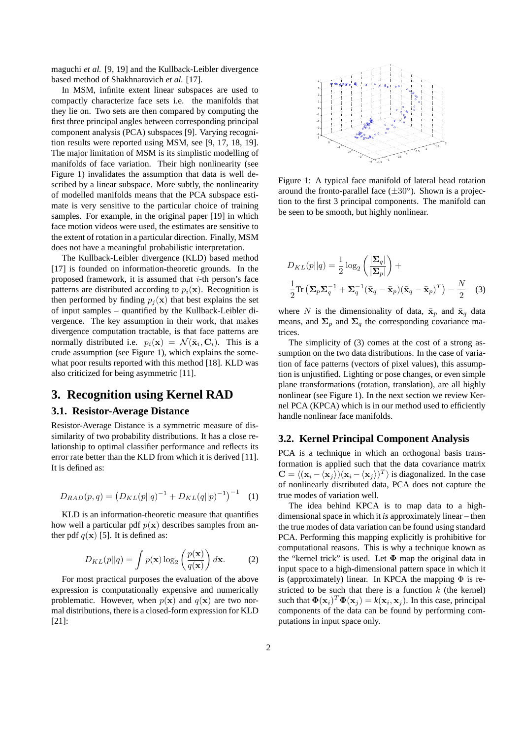maguchi *et al.* [9, 19] and the Kullback-Leibler divergence based method of Shakhnarovich *et al.* [17].

In MSM, infinite extent linear subspaces are used to compactly characterize face sets i.e. the manifolds that they lie on. Two sets are then compared by computing the first three principal angles between corresponding principal component analysis (PCA) subspaces [9]. Varying recognition results were reported using MSM, see [9, 17, 18, 19]. The major limitation of MSM is its simplistic modelling of manifolds of face variation. Their high nonlinearity (see Figure 1) invalidates the assumption that data is well described by a linear subspace. More subtly, the nonlinearity of modelled manifolds means that the PCA subspace estimate is very sensitive to the particular choice of training samples. For example, in the original paper [19] in which face motion videos were used, the estimates are sensitive to the extent of rotation in a particular direction. Finally, MSM does not have a meaningful probabilistic interpretation.

The Kullback-Leibler divergence (KLD) based method [17] is founded on information-theoretic grounds. In the proposed framework, it is assumed that  $i$ -th person's face patterns are distributed according to  $p_i(\mathbf{x})$ . Recognition is then performed by finding  $p_i(\mathbf{x})$  that best explains the set of input samples – quantified by the Kullback-Leibler divergence. The key assumption in their work, that makes divergence computation tractable, is that face patterns are normally distributed i.e.  $p_i(\mathbf{x}) = \mathcal{N}(\bar{\mathbf{x}}_i, \mathbf{C}_i)$ . This is a crude assumption (see Figure 1), which explains the somewhat poor results reported with this method [18]. KLD was also criticized for being asymmetric [11].

## **3. Recognition using Kernel RAD**

### **3.1. Resistor-Average Distance**

Resistor-Average Distance is a symmetric measure of dissimilarity of two probability distributions. It has a close relationship to optimal classifier performance and reflects its error rate better than the KLD from which it is derived [11]. It is defined as:

$$
D_{RAD}(p,q) = (D_{KL}(p||q)^{-1} + D_{KL}(q||p)^{-1})^{-1}
$$
 (1)

KLD is an information-theoretic measure that quantifies how well a particular pdf  $p(x)$  describes samples from anther pdf  $q(\mathbf{x})$  [5]. It is defined as:

$$
D_{KL}(p||q) = \int p(\mathbf{x}) \log_2\left(\frac{p(\mathbf{x})}{q(\mathbf{x})}\right) d\mathbf{x}.
$$
 (2)

For most practical purposes the evaluation of the above expression is computationally expensive and numerically problematic. However, when  $p(x)$  and  $q(x)$  are two normal distributions, there is a closed-form expression for KLD [21]:



Figure 1: A typical face manifold of lateral head rotation around the fronto-parallel face  $(\pm 30^{\circ})$ . Shown is a projection to the first 3 principal components. The manifold can be seen to be smooth, but highly nonlinear.

$$
D_{KL}(p||q) = \frac{1}{2}\log_2\left(\frac{|\Sigma_q|}{|\Sigma_p|}\right) + \frac{1}{2}\text{Tr}\left(\Sigma_p \Sigma_q^{-1} + \Sigma_q^{-1}(\bar{\mathbf{x}}_q - \bar{\mathbf{x}}_p)(\bar{\mathbf{x}}_q - \bar{\mathbf{x}}_p)^T\right) - \frac{N}{2} \quad (3)
$$

where N is the dimensionality of data,  $\bar{\mathbf{x}}_p$  and  $\bar{\mathbf{x}}_q$  data means, and  $\Sigma_n$  and  $\Sigma_q$  the corresponding covariance matrices.

The simplicity of (3) comes at the cost of a strong assumption on the two data distributions. In the case of variation of face patterns (vectors of pixel values), this assumption is unjustified. Lighting or pose changes, or even simple plane transformations (rotation, translation), are all highly nonlinear (see Figure 1). In the next section we review Kernel PCA (KPCA) which is in our method used to efficiently handle nonlinear face manifolds.

#### **3.2. Kernel Principal Component Analysis**

PCA is a technique in which an orthogonal basis transformation is applied such that the data covariance matrix  $\mathbf{C} = \langle (\mathbf{x}_i - \langle \mathbf{x}_j \rangle)(\mathbf{x}_i - \langle \mathbf{x}_j \rangle)^T \rangle$  is diagonalized. In the case of nonlinearly distributed data, PCA does not capture the true modes of variation well.

The idea behind KPCA is to map data to a highdimensional space in which it *is* approximately linear – then the true modes of data variation can be found using standard PCA. Performing this mapping explicitly is prohibitive for computational reasons. This is why a technique known as the "kernel trick" is used. Let  $\Phi$  map the original data in input space to a high-dimensional pattern space in which it is (approximately) linear. In KPCA the mapping  $\Phi$  is restricted to be such that there is a function  $k$  (the kernel) such that  $\mathbf{\Phi}(\mathbf{x}_i)^T \mathbf{\Phi}(\mathbf{x}_j) = k(\mathbf{x}_i, \mathbf{x}_j)$ . In this case, principal components of the data can be found by performing computations in input space only.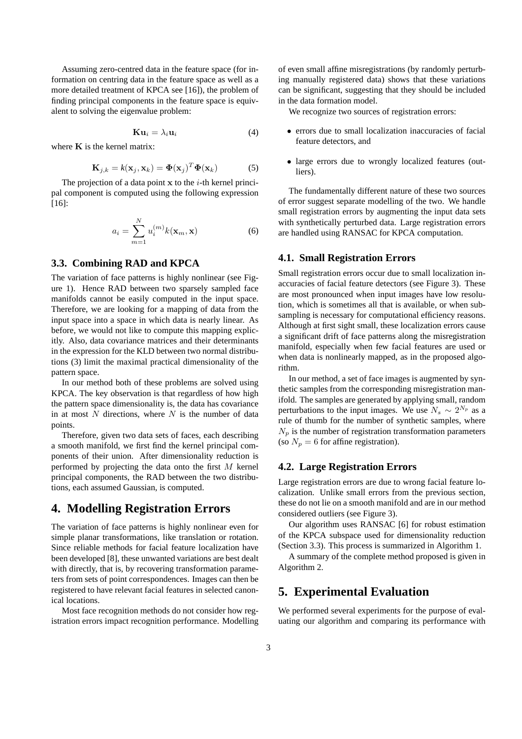Assuming zero-centred data in the feature space (for information on centring data in the feature space as well as a more detailed treatment of KPCA see [16]), the problem of finding principal components in the feature space is equivalent to solving the eigenvalue problem:

$$
\mathbf{K}\mathbf{u}_i = \lambda_i \mathbf{u}_i \tag{4}
$$

where  $K$  is the kernel matrix:

$$
\mathbf{K}_{j,k} = k(\mathbf{x}_j, \mathbf{x}_k) = \mathbf{\Phi}(\mathbf{x}_j)^T \mathbf{\Phi}(\mathbf{x}_k)
$$
 (5)

The projection of a data point  $x$  to the *i*-th kernel principal component is computed using the following expression [16]:

$$
a_i = \sum_{m=1}^{N} u_i^{(m)} k(\mathbf{x}_m, \mathbf{x})
$$
 (6)

### **3.3. Combining RAD and KPCA**

The variation of face patterns is highly nonlinear (see Figure 1). Hence RAD between two sparsely sampled face manifolds cannot be easily computed in the input space. Therefore, we are looking for a mapping of data from the input space into a space in which data is nearly linear. As before, we would not like to compute this mapping explicitly. Also, data covariance matrices and their determinants in the expression for the KLD between two normal distributions (3) limit the maximal practical dimensionality of the pattern space.

In our method both of these problems are solved using KPCA. The key observation is that regardless of how high the pattern space dimensionality is, the data has covariance in at most  $N$  directions, where  $N$  is the number of data points.

Therefore, given two data sets of faces, each describing a smooth manifold, we first find the kernel principal components of their union. After dimensionality reduction is performed by projecting the data onto the first M kernel principal components, the RAD between the two distributions, each assumed Gaussian, is computed.

### **4. Modelling Registration Errors**

The variation of face patterns is highly nonlinear even for simple planar transformations, like translation or rotation. Since reliable methods for facial feature localization have been developed [8], these unwanted variations are best dealt with directly, that is, by recovering transformation parameters from sets of point correspondences. Images can then be registered to have relevant facial features in selected canonical locations.

Most face recognition methods do not consider how registration errors impact recognition performance. Modelling of even small affine misregistrations (by randomly perturbing manually registered data) shows that these variations can be significant, suggesting that they should be included in the data formation model.

We recognize two sources of registration errors:

- errors due to small localization inaccuracies of facial feature detectors, and
- large errors due to wrongly localized features (outliers).

The fundamentally different nature of these two sources of error suggest separate modelling of the two. We handle small registration errors by augmenting the input data sets with synthetically perturbed data. Large registration errors are handled using RANSAC for KPCA computation.

#### **4.1. Small Registration Errors**

Small registration errors occur due to small localization inaccuracies of facial feature detectors (see Figure 3). These are most pronounced when input images have low resolution, which is sometimes all that is available, or when subsampling is necessary for computational efficiency reasons. Although at first sight small, these localization errors cause a significant drift of face patterns along the misregistration manifold, especially when few facial features are used or when data is nonlinearly mapped, as in the proposed algorithm.

In our method, a set of face images is augmented by synthetic samples from the corresponding misregistration manifold. The samples are generated by applying small, random perturbations to the input images. We use  $N_s \sim 2^{N_p}$  as a rule of thumb for the number of synthetic samples, where  $N_p$  is the number of registration transformation parameters (so  $N_p = 6$  for affine registration).

### **4.2. Large Registration Errors**

Large registration errors are due to wrong facial feature localization. Unlike small errors from the previous section, these do not lie on a smooth manifold and are in our method considered outliers (see Figure 3).

Our algorithm uses RANSAC [6] for robust estimation of the KPCA subspace used for dimensionality reduction (Section 3.3). This process is summarized in Algorithm 1.

A summary of the complete method proposed is given in Algorithm 2.

## **5. Experimental Evaluation**

We performed several experiments for the purpose of evaluating our algorithm and comparing its performance with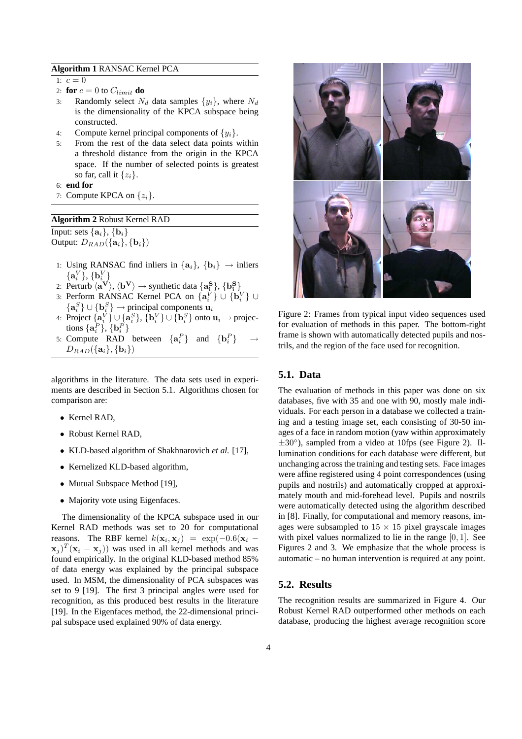#### **Algorithm 1** RANSAC Kernel PCA

1:  $c = 0$ 

- 2: **for**  $c = 0$  to  $C_{limit}$  **do**
- 3: Randomly select  $N_d$  data samples  $\{y_i\}$ , where  $N_d$ is the dimensionality of the KPCA subspace being constructed.
- 4: Compute kernel principal components of  $\{y_i\}$ .
- 5: From the rest of the data select data points within a threshold distance from the origin in the KPCA space. If the number of selected points is greatest so far, call it  $\{z_i\}$ .
- 6: **end for**
- 7: Compute KPCA on  $\{z_i\}$ .

| <b>Algorithm 2 Robust Kernel RAD</b> |  |  |  |  |
|--------------------------------------|--|--|--|--|
|--------------------------------------|--|--|--|--|

Input: sets  $\{a_i\}$ ,  $\{b_i\}$ Output:  $D_{RAD}(\{\mathbf{a}_i\},\{\mathbf{b}_i\})$ 

- 1: Using RANSAC find inliers in  $\{a_i\}$ ,  $\{b_i\} \rightarrow$  inliers  $\{{\bf a}_i^V\},\{{\bf b}_i^V\}$
- 2: Perturb  $\langle \mathbf{a}^{\mathbf{V}} \rangle$ ,  $\langle \mathbf{b}^{\mathbf{V}} \rangle \rightarrow$  synthetic data  $\{ \mathbf{a}^{\mathbf{S}}_i \}$ ,  $\{ \mathbf{b}^{\mathbf{S}}_i \}$
- 3: Perform RANSAC Kernel PCA on  $\{a_i^{\vec{V}}\}\cup \{b_i^V\} \cup$  ${ \bf a}_i^S \} \cup { \bf b}_i^S \} \rightarrow$  principal components  ${\bf u}_i$
- 4: Project  $\{a_i^V\}\cup \{a_i^S\}$ ,  $\{b_i^V\}\cup \{b_i^S\}$  onto  $u_i \rightarrow$  projections  $\{a_i^P\}, \{b_i^P\}$
- 5: Compute RAD between  $\{a_i^P\}$  and  $\{b_i^P\}$   $\rightarrow$  $D_{RAD}(\{\mathbf{a}_i\},\{\mathbf{b}_i\})$

algorithms in the literature. The data sets used in experiments are described in Section 5.1. Algorithms chosen for comparison are:

- Kernel RAD,
- Robust Kernel RAD,
- KLD-based algorithm of Shakhnarovich *et al.* [17],
- Kernelized KLD-based algorithm,
- Mutual Subspace Method [19],
- Majority vote using Eigenfaces.

The dimensionality of the KPCA subspace used in our Kernel RAD methods was set to 20 for computational reasons. The RBF kernel  $k(\mathbf{x}_i, \mathbf{x}_j) = \exp(-0.6(\mathbf{x}_i (\mathbf{x}_j)^T (\mathbf{x}_i - \mathbf{x}_j)$  was used in all kernel methods and was found empirically. In the original KLD-based method 85% of data energy was explained by the principal subspace used. In MSM, the dimensionality of PCA subspaces was set to 9 [19]. The first 3 principal angles were used for recognition, as this produced best results in the literature [19]. In the Eigenfaces method, the 22-dimensional principal subspace used explained 90% of data energy.



Figure 2: Frames from typical input video sequences used for evaluation of methods in this paper. The bottom-right frame is shown with automatically detected pupils and nostrils, and the region of the face used for recognition.

#### **5.1. Data**

The evaluation of methods in this paper was done on six databases, five with 35 and one with 90, mostly male individuals. For each person in a database we collected a training and a testing image set, each consisting of 30-50 images of a face in random motion (yaw within approximately  $\pm 30^{\circ}$ ), sampled from a video at 10fps (see Figure 2). Illumination conditions for each database were different, but unchanging across the training and testing sets. Face images were affine registered using 4 point correspondences (using pupils and nostrils) and automatically cropped at approximately mouth and mid-forehead level. Pupils and nostrils were automatically detected using the algorithm described in [8]. Finally, for computational and memory reasons, images were subsampled to  $15 \times 15$  pixel grayscale images with pixel values normalized to lie in the range  $[0, 1]$ . See Figures 2 and 3. We emphasize that the whole process is automatic – no human intervention is required at any point.

### **5.2. Results**

The recognition results are summarized in Figure 4. Our Robust Kernel RAD outperformed other methods on each database, producing the highest average recognition score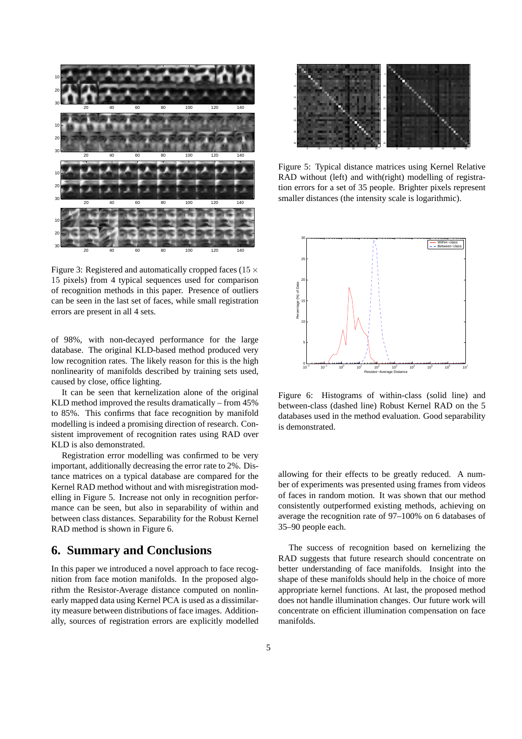

Figure 3: Registered and automatically cropped faces ( $15 \times$ 15 pixels) from 4 typical sequences used for comparison of recognition methods in this paper. Presence of outliers can be seen in the last set of faces, while small registration errors are present in all 4 sets.

of 98%, with non-decayed performance for the large database. The original KLD-based method produced very low recognition rates. The likely reason for this is the high nonlinearity of manifolds described by training sets used, caused by close, office lighting.

It can be seen that kernelization alone of the original KLD method improved the results dramatically – from 45% to 85%. This confirms that face recognition by manifold modelling is indeed a promising direction of research. Consistent improvement of recognition rates using RAD over KLD is also demonstrated.

Registration error modelling was confirmed to be very important, additionally decreasing the error rate to 2%. Distance matrices on a typical database are compared for the Kernel RAD method without and with misregistration modelling in Figure 5. Increase not only in recognition performance can be seen, but also in separability of within and between class distances. Separability for the Robust Kernel RAD method is shown in Figure 6.

### **6. Summary and Conclusions**

In this paper we introduced a novel approach to face recognition from face motion manifolds. In the proposed algorithm the Resistor-Average distance computed on nonlinearly mapped data using Kernel PCA is used as a dissimilarity measure between distributions of face images. Additionally, sources of registration errors are explicitly modelled



Figure 5: Typical distance matrices using Kernel Relative RAD without (left) and with(right) modelling of registration errors for a set of 35 people. Brighter pixels represent smaller distances (the intensity scale is logarithmic).



Figure 6: Histograms of within-class (solid line) and between-class (dashed line) Robust Kernel RAD on the 5 databases used in the method evaluation. Good separability is demonstrated.

allowing for their effects to be greatly reduced. A number of experiments was presented using frames from videos of faces in random motion. It was shown that our method consistently outperformed existing methods, achieving on average the recognition rate of 97–100% on 6 databases of 35–90 people each.

The success of recognition based on kernelizing the RAD suggests that future research should concentrate on better understanding of face manifolds. Insight into the shape of these manifolds should help in the choice of more appropriate kernel functions. At last, the proposed method does not handle illumination changes. Our future work will concentrate on efficient illumination compensation on face manifolds.